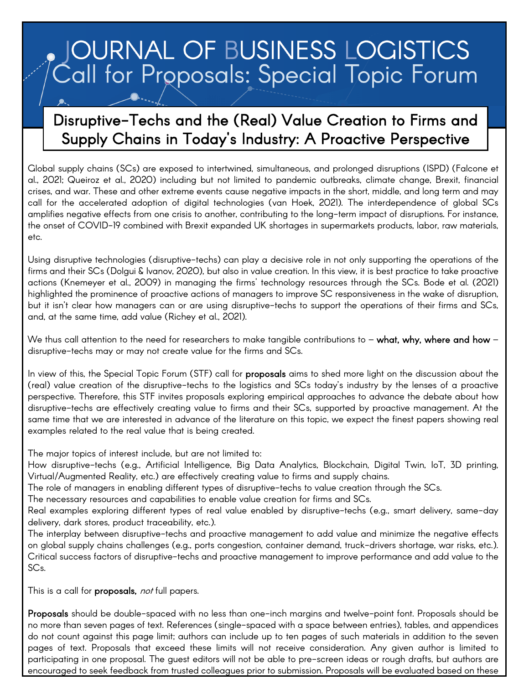# **JOURNAL OF BUSINESS LOGISTICS** Call for Proposals: Special Topic Forum

# Disruptive-Techs and the (Real) Value Creation to Firms and Supply Chains in Today's Industry: A Proactive Perspective

Global supply chains (SCs) are exposed to intertwined, simultaneous, and prolonged disruptions (ISPD) (Falcone et al., 2021; Queiroz et al., 2020) including but not limited to pandemic outbreaks, climate change, Brexit, financial crises, and war. These and other extreme events cause negative impacts in the short, middle, and long term and may call for the accelerated adoption of digital technologies (van Hoek, 2021). The interdependence of global SCs amplifies negative effects from one crisis to another, contributing to the long-term impact of disruptions. For instance, the onset of COVID-19 combined with Brexit expanded UK shortages in supermarkets products, labor, raw materials, etc.

Using disruptive technologies (disruptive-techs) can play a decisive role in not only supporting the operations of the firms and their SCs (Dolgui & Ivanov, 2020), but also in value creation. In this view, it is best practice to take proactive actions (Knemeyer et al., 2009) in managing the firms' technology resources through the SCs. Bode et al. (2021) highlighted the prominence of proactive actions of managers to improve SC responsiveness in the wake of disruption, but it isn't clear how managers can or are using disruptive-techs to support the operations of their firms and SCs, and, at the same time, add value (Richey et al., 2021).

We thus call attention to the need for researchers to make tangible contributions to – what, why, where and how – disruptive-techs may or may not create value for the firms and SCs.

In view of this, the Special Topic Forum (STF) call for **proposals** aims to shed more light on the discussion about the (real) value creation of the disruptive-techs to the logistics and SCs today's industry by the lenses of a proactive perspective. Therefore, this STF invites proposals exploring empirical approaches to advance the debate about how disruptive-techs are effectively creating value to firms and their SCs, supported by proactive management. At the same time that we are interested in advance of the literature on this topic, we expect the finest papers showing real examples related to the real value that is being created.

The major topics of interest include, but are not limited to:

How disruptive-techs (e.g., Artificial Intelligence, Big Data Analytics, Blockchain, Digital Twin, IoT, 3D printing, Virtual/Augmented Reality, etc.) are effectively creating value to firms and supply chains.

The role of managers in enabling different types of disruptive-techs to value creation through the SCs.

The necessary resources and capabilities to enable value creation for firms and SCs.

Real examples exploring different types of real value enabled by disruptive-techs (e.g., smart delivery, same-day delivery, dark stores, product traceability, etc.).

The interplay between disruptive-techs and proactive management to add value and minimize the negative effects on global supply chains challenges (e.g., ports congestion, container demand, truck-drivers shortage, war risks, etc.). Critical success factors of disruptive-techs and proactive management to improve performance and add value to the SCs.

This is a call for **proposals,** not full papers.

Proposals should be double-spaced with no less than one-inch margins and twelve-point font. Proposals should be no more than seven pages of text. References (single-spaced with a space between entries), tables, and appendices do not count against this page limit; authors can include up to ten pages of such materials in addition to the seven pages of text. Proposals that exceed these limits will not receive consideration. Any given author is limited to participating in one proposal. The guest editors will not be able to pre-screen ideas or rough drafts, but authors are encouraged to seek feedback from trusted colleagues prior to submission. Proposals will be evaluated based on these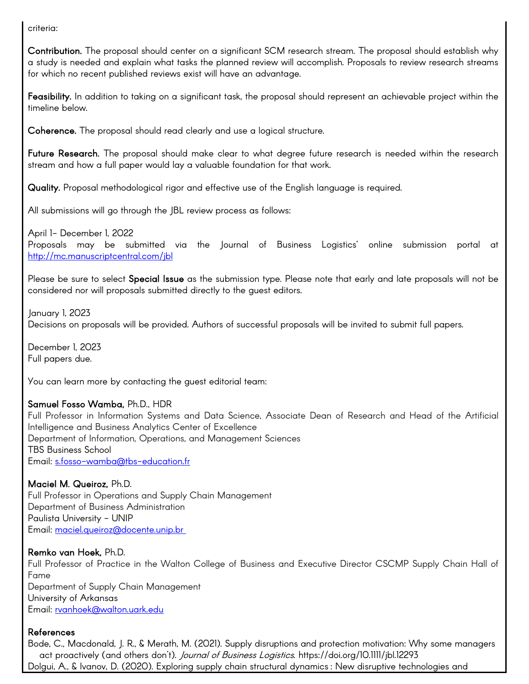criteria:

Contribution. The proposal should center on a significant SCM research stream. The proposal should establish why a study is needed and explain what tasks the planned review will accomplish. Proposals to review research streams for which no recent published reviews exist will have an advantage.

Feasibility. In addition to taking on a significant task, the proposal should represent an achievable project within the timeline below.

Coherence. The proposal should read clearly and use a logical structure.

Future Research. The proposal should make clear to what degree future research is needed within the research stream and how a full paper would lay a valuable foundation for that work.

Quality. Proposal methodological rigor and effective use of the English language is required.

All submissions will go through the JBL review process as follows:

April 1- December 1, 2022 Proposals may be submitted via the Journal of Business Logistics' online submission portal at <http://mc.manuscriptcentral.com/jbl>

Please be sure to select Special Issue as the submission type. Please note that early and late proposals will not be considered nor will proposals submitted directly to the guest editors.

January 1, 2023

Decisions on proposals will be provided. Authors of successful proposals will be invited to submit full papers.

December 1, 2023 Full papers due.

You can learn more by contacting the guest editorial team:

## Samuel Fosso Wamba, Ph.D., HDR

Full Professor in Information Systems and Data Science, Associate Dean of Research and Head of the Artificial Intelligence and Business Analytics Center of Excellence Department of Information, Operations, and Management Sciences TBS Business School Email: [s.fosso-wamba@tbs-education.fr](mailto:s.fosso-wamba@tbs-education.fr)

# Maciel M. Queiroz, Ph.D.

Full Professor in Operations and Supply Chain Management Department of Business Administration Paulista University - UNIP Email: [maciel.queiroz@docente.unip.br](mailto:maciel.queiroz@docente.unip.br)

## Remko van Hoek, Ph.D.

Full Professor of Practice in the Walton College of Business and Executive Director CSCMP Supply Chain Hall of Fame Department of Supply Chain Management University of Arkansas Email: [rvanhoek@walton.uark.edu](mailto:rvanhoek@walton.uark.edu)

## References

Bode, C., Macdonald, J. R., & Merath, M. (2021). Supply disruptions and protection motivation: Why some managers act proactively (and others don't). Journal of Business Logistics. https://doi.org/10.1111/jbl.12293 Dolgui, A., & Ivanov, D. (2020). Exploring supply chain structural dynamics : New disruptive technologies and